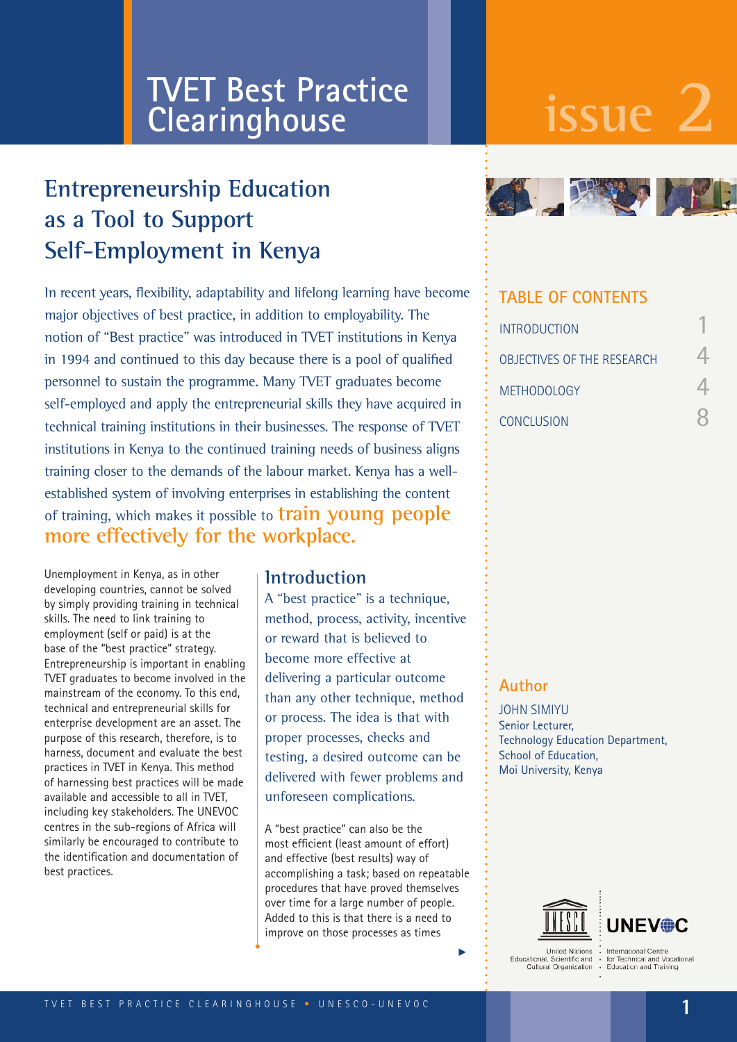# **issue 2 TVET Best Practice Clearinghouse**

# **Entrepreneurship Education as a Tool to Support Self-Employment in Kenya**

In recent years, flexibility, adaptability and lifelong learning have become major objectives of best practice, in addition to employability. The notion of "Best practice" was introduced in TVET institutions in Kenya in 1994 and continued to this day because there is a pool of qualified personnel to sustain the programme. Many TVET graduates become self-employed and apply the entrepreneurial skills they have acquired in technical training institutions in their businesses. The response of TVET institutions in Kenya to the continued training needs of business aligns training closer to the demands of the labour market. Kenya has a wellestablished system of involving enterprises in establishing the content of training, which makes it possible to **train young people more effectively for the workplace.**

Unemployment in Kenya, as in other developing countries, cannot be solved by simply providing training in technical skills. The need to link training to employment (self or paid) is at the base of the "best practice" strategy. Entrepreneurship is important in enabling TVET graduates to become involved in the mainstream of the economy. To this end, technical and entrepreneurial skills for enterprise development are an asset. The purpose of this research, therefore, is to harness, document and evaluate the best practices in TVET in Kenya. This method of harnessing best practices will be made available and accessible to all in TVET, including key stakeholders. The UNEVOC centres in the sub-regions of Africa will similarly be encouraged to contribute to the identification and documentation of best practices.

#### **Introduction**

A "best practice" is a technique, method, process, activity, incentive or reward that is believed to become more effective at delivering a particular outcome than any other technique, method or process. The idea is that with proper processes, checks and testing, a desired outcome can be delivered with fewer problems and unforeseen complications.

A "best practice" can also be the most efficient (least amount of effort) and effective (best results) way of accomplishing a task; based on repeatable procedures that have proved themselves over time for a large number of people. Added to this is that there is a need to improve on those processes as times



### **TABLE OF CONTENTS**

| <b>INTRODUCTION</b>               |  |
|-----------------------------------|--|
| <b>OBJECTIVES OF THE RESEARCH</b> |  |
| <b>METHODOLOGY</b>                |  |
| <b>CONCLUSION</b>                 |  |

#### **Author**

JOHN SIMIYU Senior Lecturer, Technology Education Department, School of Education, Moi University, Kenya



**Hoited Nations** United Nations<br>tational, Scientific and<br>Cultural Organization Educational

 $\blacktriangleright$ 

International Centre<br>for Technical and Vocational<br>Education and Training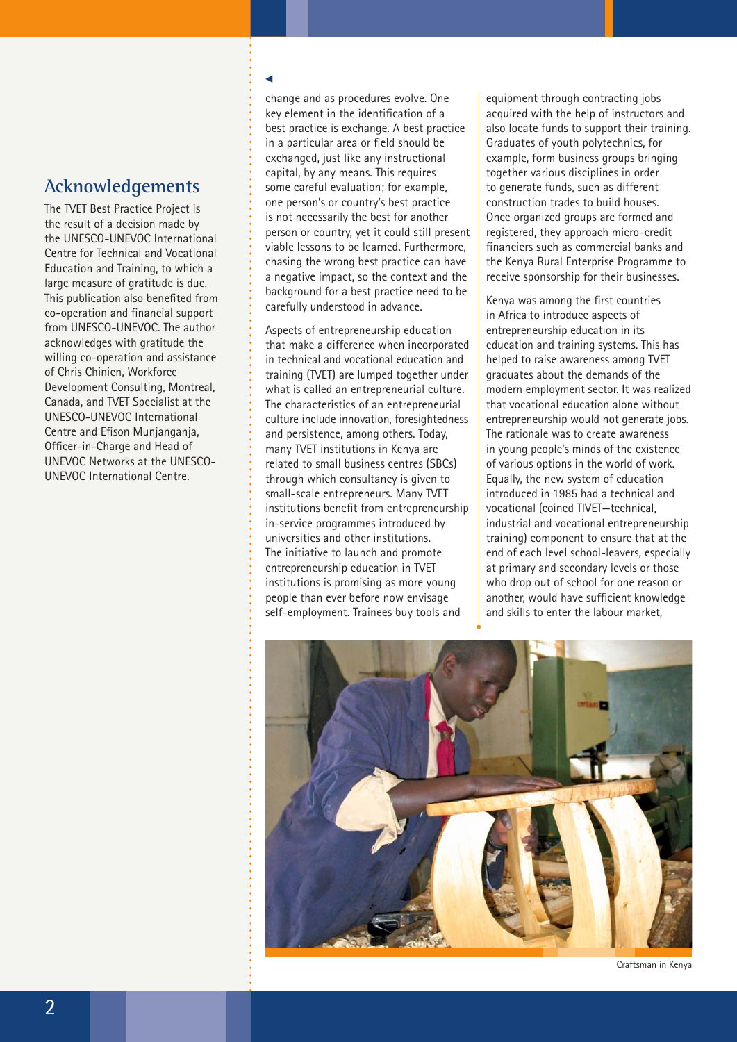### **Acknowledgements**

The TVET Best Practice Project is the result of a decision made by the UNESCO-UNEVOC International Centre for Technical and Vocational Education and Training, to which a large measure of gratitude is due. This publication also benefited from co-operation and financial support from UNESCO-UNEVOC. The author acknowledges with gratitude the willing co-operation and assistance of Chris Chinien, Workforce Development Consulting, Montreal, Canada, and TVET Specialist at the UNESCO-UNEVOC International Centre and Efison Munjanganja, Officer-in-Charge and Head of UNEVOC Networks at the UNESCO-UNEVOC International Centre.

#### u

change and as procedures evolve. One key element in the identification of a best practice is exchange. A best practice in a particular area or field should be exchanged, just like any instructional capital, by any means. This requires some careful evaluation; for example, one person's or country's best practice is not necessarily the best for another person or country, yet it could still present viable lessons to be learned. Furthermore, chasing the wrong best practice can have a negative impact, so the context and the background for a best practice need to be carefully understood in advance.

Aspects of entrepreneurship education that make a difference when incorporated in technical and vocational education and training (TVET) are lumped together under what is called an entrepreneurial culture. The characteristics of an entrepreneurial culture include innovation, foresightedness and persistence, among others. Today, many TVET institutions in Kenya are related to small business centres (SBCs) through which consultancy is given to small-scale entrepreneurs. Many TVET institutions benefit from entrepreneurship in-service programmes introduced by universities and other institutions. The initiative to launch and promote entrepreneurship education in TVET institutions is promising as more young people than ever before now envisage self-employment. Trainees buy tools and

equipment through contracting jobs acquired with the help of instructors and also locate funds to support their training. Graduates of youth polytechnics, for example, form business groups bringing together various disciplines in order to generate funds, such as different construction trades to build houses. Once organized groups are formed and registered, they approach micro-credit financiers such as commercial banks and the Kenya Rural Enterprise Programme to receive sponsorship for their businesses.

Kenya was among the first countries in Africa to introduce aspects of entrepreneurship education in its education and training systems. This has helped to raise awareness among TVET graduates about the demands of the modern employment sector. It was realized that vocational education alone without entrepreneurship would not generate jobs. The rationale was to create awareness in young people's minds of the existence of various options in the world of work. Equally, the new system of education introduced in 1985 had a technical and vocational (coined TIVET—technical, industrial and vocational entrepreneurship training) component to ensure that at the end of each level school-leavers, especially at primary and secondary levels or those who drop out of school for one reason or another, would have sufficient knowledge and skills to enter the labour market,



Craftsman in Kenya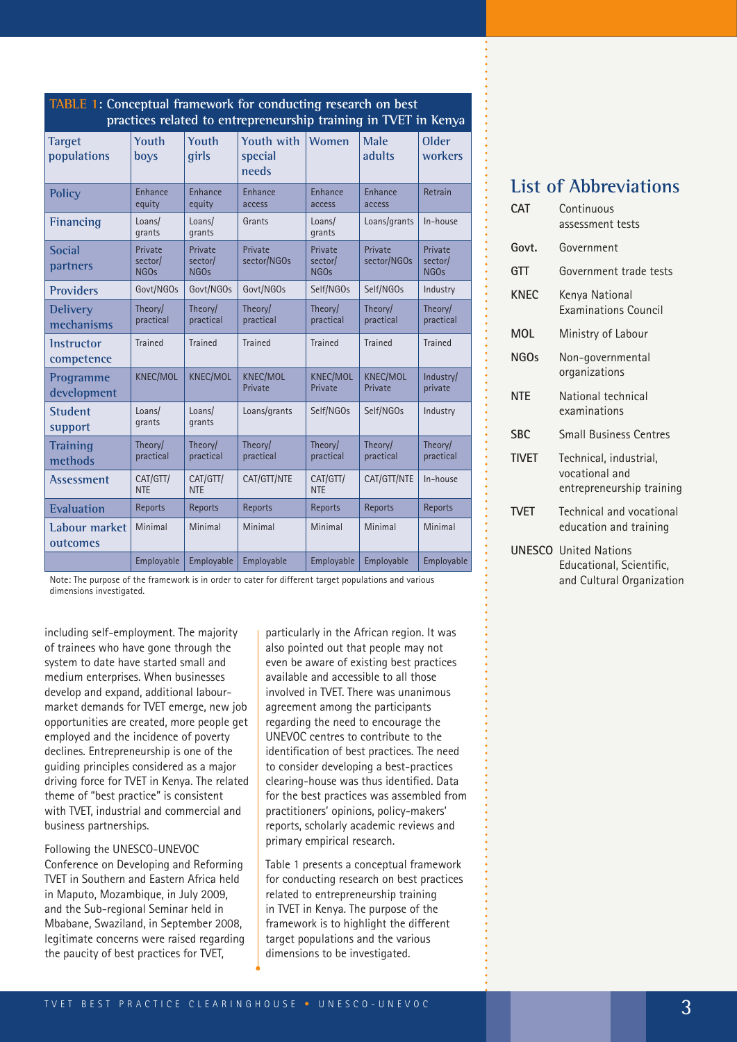| practices related to entrepreneurship training in TVET in Kenya |                                        |                                                                       |                                       |                                        |                            |                                        |  |  |
|-----------------------------------------------------------------|----------------------------------------|-----------------------------------------------------------------------|---------------------------------------|----------------------------------------|----------------------------|----------------------------------------|--|--|
| <b>Target</b><br>populations                                    | Youth<br>boys                          | Youth<br>girls                                                        | <b>Youth with</b><br>special<br>needs | <b>Women</b>                           | Male<br>adults             | <b>Older</b><br>workers                |  |  |
| <b>Policy</b>                                                   | Enhance<br>equity                      | Enhance<br>Enhance<br>Enhance<br>equity<br>access<br>access<br>access |                                       | Enhance                                | Retrain                    |                                        |  |  |
| <b>Financing</b>                                                | Loans/<br>grants                       | Loans/<br>grants                                                      | Grants                                | Loans/<br>grants                       | Loans/grants               | In-house                               |  |  |
| <b>Social</b><br>partners                                       | Private<br>sector/<br>NGO <sub>s</sub> | Private<br>sector/<br><b>NGOs</b>                                     | Private<br>sector/NGOs                | Private<br>sector/<br>NGO <sub>s</sub> | Private<br>sector/NGOs     | Private<br>sector/<br>NGO <sub>s</sub> |  |  |
| <b>Providers</b>                                                | Govt/NGOs                              | Govt/NGOs                                                             | Govt/NGOs                             | Self/NGOs                              | Self/NGOs                  | Industry                               |  |  |
| <b>Delivery</b><br>mechanisms                                   | Theory/<br>practical                   | Theory/<br>practical                                                  | Theory/<br>practical                  | Theory/<br>practical                   | Theory/<br>practical       | Theory/<br>practical                   |  |  |
| <b>Instructor</b><br>competence                                 | <b>Trained</b>                         | <b>Trained</b>                                                        | <b>Trained</b>                        | <b>Trained</b>                         | <b>Trained</b>             | <b>Trained</b>                         |  |  |
| Programme<br>development                                        | <b>KNEC/MOL</b>                        | <b>KNEC/MOL</b>                                                       | <b>KNEC/MOL</b><br>Private            | <b>KNEC/MOL</b><br>Private             | <b>KNEC/MOL</b><br>Private | Industry/<br>private                   |  |  |
| <b>Student</b><br>support                                       | Loans/<br>grants                       | Loans/<br>grants                                                      | Loans/grants                          | Self/NGOs                              | Self/NGOs                  | Industry                               |  |  |
| <b>Training</b><br>methods                                      | Theory/<br>practical                   | Theory/<br>practical                                                  | Theory/<br>practical                  | Theory/<br>practical                   | Theory/<br>practical       | Theory/<br>practical                   |  |  |
| <b>Assessment</b>                                               | CAT/GTT/<br><b>NTE</b>                 | CAT/GTT/<br><b>NTE</b>                                                | CAT/GTT/NTE                           | CAT/GTT/<br><b>NTE</b>                 | CAT/GTT/NTE                | In-house                               |  |  |
| <b>Evaluation</b>                                               | Reports                                | Reports                                                               | Reports                               | Reports                                | Reports                    | Reports                                |  |  |
| Labour market<br>outcomes                                       | Minimal                                | Minimal                                                               | Minimal                               | Minimal                                | Minimal                    | Minimal                                |  |  |
|                                                                 | Employable                             | Employable                                                            | Employable                            | Employable                             | Employable                 | Employable                             |  |  |

**TABLE 1: Conceptual framework for conducting research on best** 

Note: The purpose of the framework is in order to cater for different target populations and various dimensions investigated.

including self-employment. The majority of trainees who have gone through the system to date have started small and medium enterprises. When businesses develop and expand, additional labourmarket demands for TVET emerge, new job opportunities are created, more people get employed and the incidence of poverty declines. Entrepreneurship is one of the guiding principles considered as a major driving force for TVET in Kenya. The related theme of "best practice" is consistent with TVET, industrial and commercial and business partnerships.

Following the UNESCO-UNEVOC Conference on Developing and Reforming TVET in Southern and Eastern Africa held in Maputo, Mozambique, in July 2009, and the Sub-regional Seminar held in Mbabane, Swaziland, in September 2008, legitimate concerns were raised regarding the paucity of best practices for TVET,

particularly in the African region. It was also pointed out that people may not even be aware of existing best practices available and accessible to all those involved in TVET. There was unanimous agreement among the participants regarding the need to encourage the UNEVOC centres to contribute to the identification of best practices. The need to consider developing a best-practices clearing-house was thus identified. Data for the best practices was assembled from practitioners' opinions, policy-makers' reports, scholarly academic reviews and primary empirical research.

Table 1 presents a conceptual framework for conducting research on best practices related to entrepreneurship training in TVET in Kenya. The purpose of the framework is to highlight the different target populations and the various dimensions to be investigated.

# **List of Abbreviations**

| <b>CAT</b>   | Continuous<br>assessment tests                                        |
|--------------|-----------------------------------------------------------------------|
| Govt.        | Government                                                            |
| GTT          | Government trade tests                                                |
| <b>KNEC</b>  | Kenya National<br><b>Examinations Council</b>                         |
| <b>MOL</b>   | Ministry of Labour                                                    |
| NGOs         | Non-governmental<br>organizations                                     |
| <b>NTE</b>   | National technical<br>examinations                                    |
| <b>SBC</b>   | <b>Small Business Centres</b>                                         |
| <b>TIVET</b> | Technical, industrial,<br>vocational and<br>entrepreneurship training |
| <b>TVFT</b>  | Technical and vocational<br>education and training                    |
|              | <b>UNESCO</b> United Nations<br>Educational, Scientific,              |

and Cultural Organization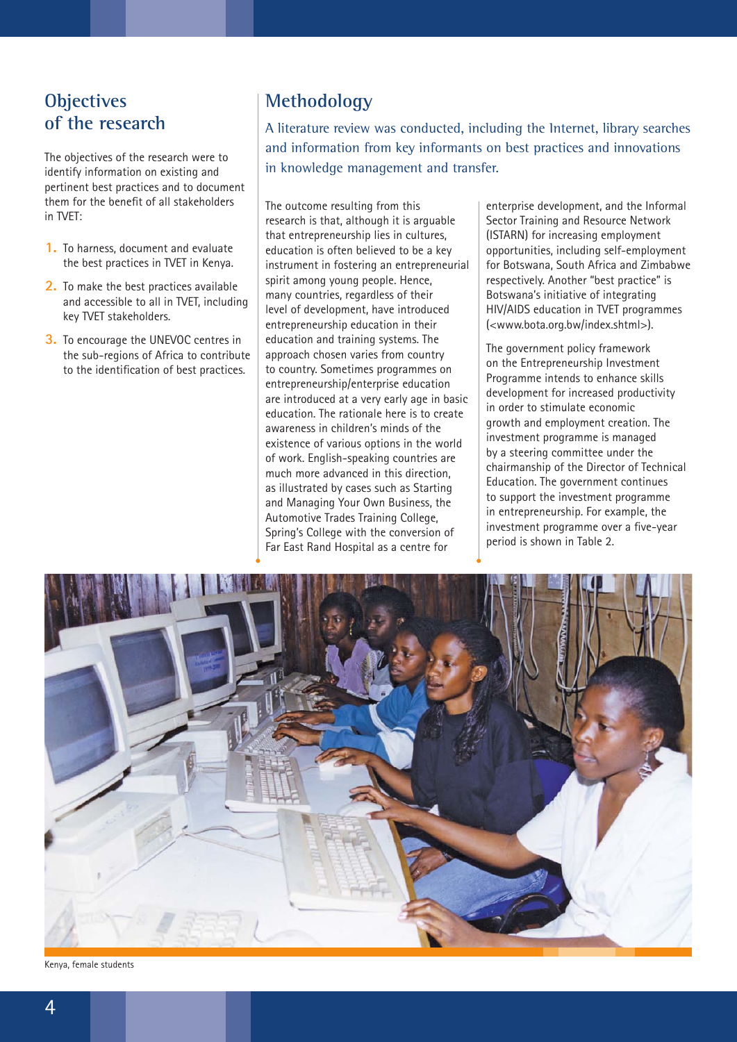## **Objectives of the research**

The objectives of the research were to identify information on existing and pertinent best practices and to document them for the benefit of all stakeholders in TVET:

- **1.** To harness, document and evaluate the best practices in TVET in Kenya.
- **2.** To make the best practices available and accessible to all in TVET, including key TVET stakeholders.
- **3.** To encourage the UNEVOC centres in the sub-regions of Africa to contribute to the identification of best practices.

### **Methodology**

A literature review was conducted, including the Internet, library searches and information from key informants on best practices and innovations in knowledge management and transfer.

The outcome resulting from this research is that, although it is arguable that entrepreneurship lies in cultures, education is often believed to be a key instrument in fostering an entrepreneurial spirit among young people. Hence, many countries, regardless of their level of development, have introduced entrepreneurship education in their education and training systems. The approach chosen varies from country to country. Sometimes programmes on entrepreneurship/enterprise education are introduced at a very early age in basic education. The rationale here is to create awareness in children's minds of the existence of various options in the world of work. English-speaking countries are much more advanced in this direction, as illustrated by cases such as Starting and Managing Your Own Business, the Automotive Trades Training College, Spring's College with the conversion of Far East Rand Hospital as a centre for

enterprise development, and the Informal Sector Training and Resource Network (ISTARN) for increasing employment opportunities, including self-employment for Botswana, South Africa and Zimbabwe respectively. Another "best practice" is Botswana's initiative of integrating HIV/AIDS education in TVET programmes (<www.bota.org.bw/index.shtml>).

The government policy framework on the Entrepreneurship Investment Programme intends to enhance skills development for increased productivity in order to stimulate economic growth and employment creation. The investment programme is managed by a steering committee under the chairmanship of the Director of Technical Education. The government continues to support the investment programme in entrepreneurship. For example, the investment programme over a five-year period is shown in Table 2.



Kenya, female students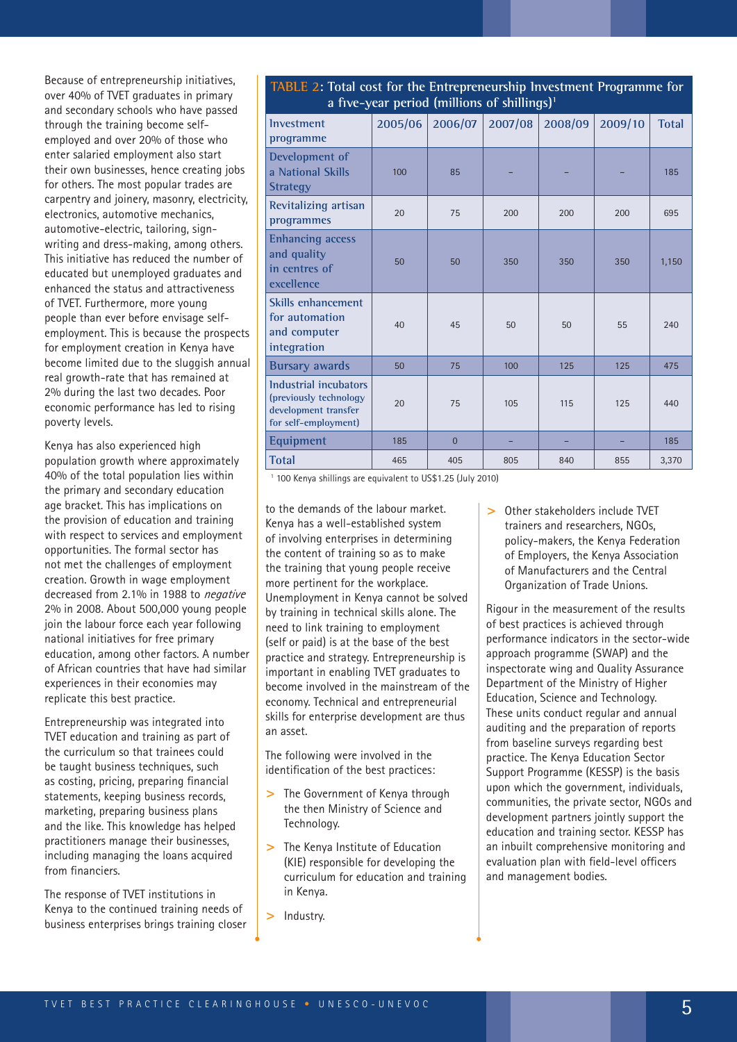Because of entrepreneurship initiatives, over 40% of TVET graduates in primary and secondary schools who have passed through the training become selfemployed and over 20% of those who enter salaried employment also start their own businesses, hence creating jobs for others. The most popular trades are carpentry and joinery, masonry, electricity, electronics, automotive mechanics, automotive-electric, tailoring, signwriting and dress-making, among others. This initiative has reduced the number of educated but unemployed graduates and enhanced the status and attractiveness of TVET. Furthermore, more young people than ever before envisage selfemployment. This is because the prospects for employment creation in Kenya have become limited due to the sluggish annual real growth-rate that has remained at 2% during the last two decades. Poor economic performance has led to rising poverty levels.

Kenya has also experienced high population growth where approximately 40% of the total population lies within the primary and secondary education age bracket. This has implications on the provision of education and training with respect to services and employment opportunities. The formal sector has not met the challenges of employment creation. Growth in wage employment decreased from 2.1% in 1988 to *negative* 2% in 2008. About 500,000 young people join the labour force each year following national initiatives for free primary education, among other factors. A number of African countries that have had similar experiences in their economies may replicate this best practice.

Entrepreneurship was integrated into TVET education and training as part of the curriculum so that trainees could be taught business techniques, such as costing, pricing, preparing financial statements, keeping business records, marketing, preparing business plans and the like. This knowledge has helped practitioners manage their businesses, including managing the loans acquired from financiers.

The response of TVET institutions in Kenya to the continued training needs of business enterprises brings training closer

#### **TABLE 2: Total cost for the Entrepreneurship Investment Programme for a five-year period (millions of shillings)1**

| a live-year period (millions of smillings)                                                      |         |                |         |         |         |              |  |
|-------------------------------------------------------------------------------------------------|---------|----------------|---------|---------|---------|--------------|--|
| <b>Investment</b><br>programme                                                                  | 2005/06 | 2006/07        | 2007/08 | 2008/09 | 2009/10 | <b>Total</b> |  |
| Development of<br>a National Skills<br><b>Strategy</b>                                          | 100     | 85             |         |         |         | 185          |  |
| Revitalizing artisan<br>programmes                                                              | 20      | 75             | 200     | 200     | 200     | 695          |  |
| <b>Enhancing access</b><br>and quality<br>in centres of<br>excellence                           | 50      | 50             | 350     | 350     | 350     | 1,150        |  |
| Skills enhancement<br>for automation<br>and computer<br>integration                             | 40      | 45             | 50      | 50      | 55      | 240          |  |
| <b>Bursary awards</b>                                                                           | 50      | 75             | 100     | 125     | 125     | 475          |  |
| Industrial incubators<br>(previously technology<br>development transfer<br>for self-employment) | 20      | 75             | 105     | 115     | 125     | 440          |  |
| <b>Equipment</b>                                                                                | 185     | $\overline{0}$ |         |         |         | 185          |  |
| <b>Total</b>                                                                                    | 465     | 405            | 805     | 840     | 855     | 3,370        |  |

1 100 Kenya shillings are equivalent to US\$1.25 (July 2010)

to the demands of the labour market. Kenya has a well-established system of involving enterprises in determining the content of training so as to make the training that young people receive more pertinent for the workplace. Unemployment in Kenya cannot be solved by training in technical skills alone. The need to link training to employment (self or paid) is at the base of the best practice and strategy. Entrepreneurship is important in enabling TVET graduates to become involved in the mainstream of the economy. Technical and entrepreneurial skills for enterprise development are thus an asset.

The following were involved in the identification of the best practices:

- **>** The Government of Kenya through the then Ministry of Science and Technology.
- **>** The Kenya Institute of Education (KIE) responsible for developing the curriculum for education and training in Kenya.
- **>** Industry.

**>** Other stakeholders include TVET trainers and researchers, NGOs, policy-makers, the Kenya Federation of Employers, the Kenya Association of Manufacturers and the Central Organization of Trade Unions.

Rigour in the measurement of the results of best practices is achieved through performance indicators in the sector-wide approach programme (SWAP) and the inspectorate wing and Quality Assurance Department of the Ministry of Higher Education, Science and Technology. These units conduct regular and annual auditing and the preparation of reports from baseline surveys regarding best practice. The Kenya Education Sector Support Programme (KESSP) is the basis upon which the government, individuals, communities, the private sector, NGOs and development partners jointly support the education and training sector. KESSP has an inbuilt comprehensive monitoring and evaluation plan with field-level officers and management bodies.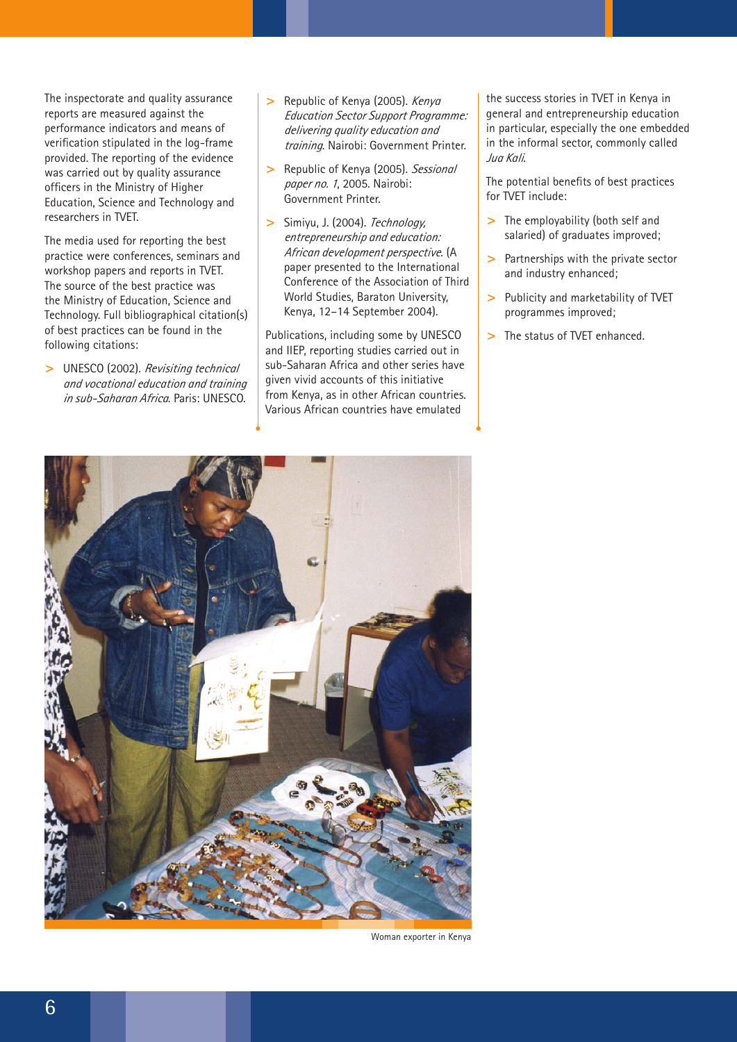The inspectorate and quality assurance reports are measured against the performance indicators and means of verification stipulated in the log-frame provided. The reporting of the evidence was carried out by quality assurance officers in the Ministry of Higher Education, Science and Technology and researchers in TVET.

The media used for reporting the best practice were conferences, seminars and workshop papers and reports in TVET. The source of the best practice was the Ministry of Education, Science and Technology. Full bibliographical citation(s) of best practices can be found in the following citations:

**>** UNESCO (2002). *Revisiting technical and vocational education and training in sub-Saharan Africa*. Paris: UNESCO.

- **>** Republic of Kenya (2005). *Kenya Education Sector Support Programme: delivering quality education and training*. Nairobi: Government Printer.
- **>** Republic of Kenya (2005). *Sessional paper no. <sup>1</sup>*, 2005. Nairobi: Government Printer.
- **>** Simiyu, J. (2004). *Technology, entrepreneurship and education: African development perspective*. (A paper presented to the International Conference of the Association of Third World Studies, Baraton University, Kenya, 12–14 September 2004).

Publications, including some by UNESCO and IIEP, reporting studies carried out in sub-Saharan Africa and other series have given vivid accounts of this initiative from Kenya, as in other African countries. Various African countries have emulated

the success stories in TVET in Kenya in general and entrepreneurship education in particular, especially the one embedded in the informal sector, commonly called *Jua Kali*.

The potential benefits of best practices for TVET include:

- **>** The employability (both self and salaried) of graduates improved;
- **>** Partnerships with the private sector and industry enhanced;
- **>** Publicity and marketability of TVET programmes improved;
- **>** The status of TVET enhanced.



Woman exporter in Kenya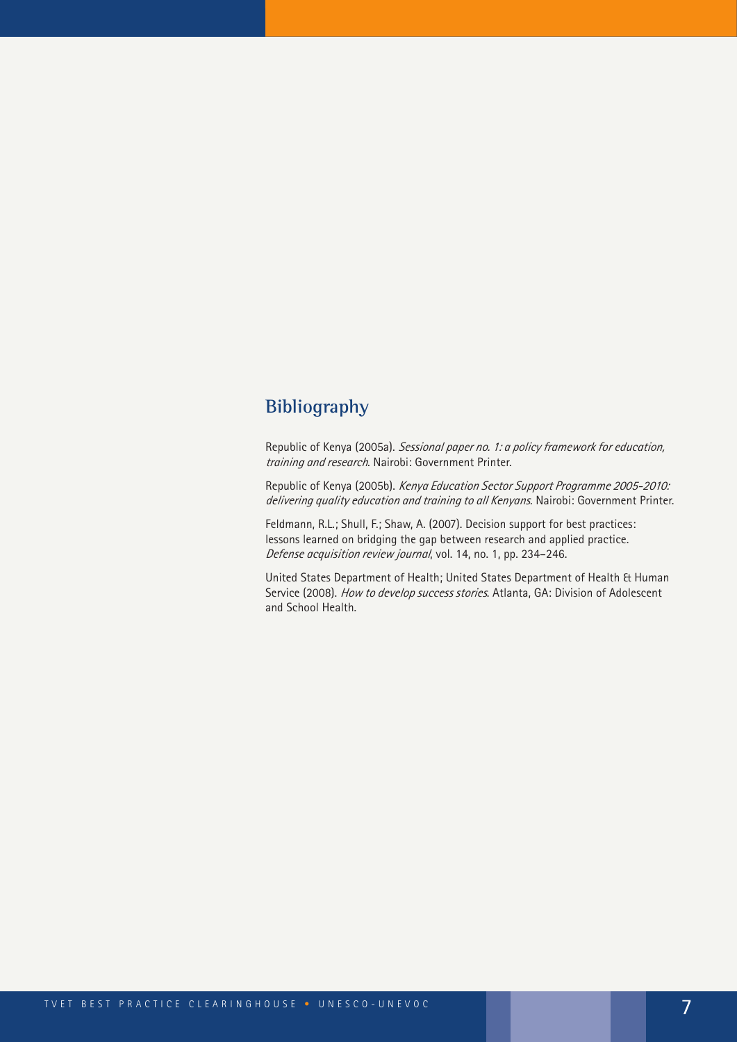## **Bibliography**

Republic of Kenya (2005a). *Sessional paper no. 1: a policy framework for education, training and research*. Nairobi: Government Printer.

Republic of Kenya (2005b). *Kenya Education Sector Support Programme 2005-2010: delivering quality education and training to all Kenyans*. Nairobi: Government Printer.

Feldmann, R.L.; Shull, F.; Shaw, A. (2007). Decision support for best practices: lessons learned on bridging the gap between research and applied practice. *Defense acquisition review journal*, vol. 14, no. 1, pp. 234–246.

United States Department of Health; United States Department of Health & Human Service (2008). *How to develop success stories*. Atlanta, GA: Division of Adolescent and School Health.